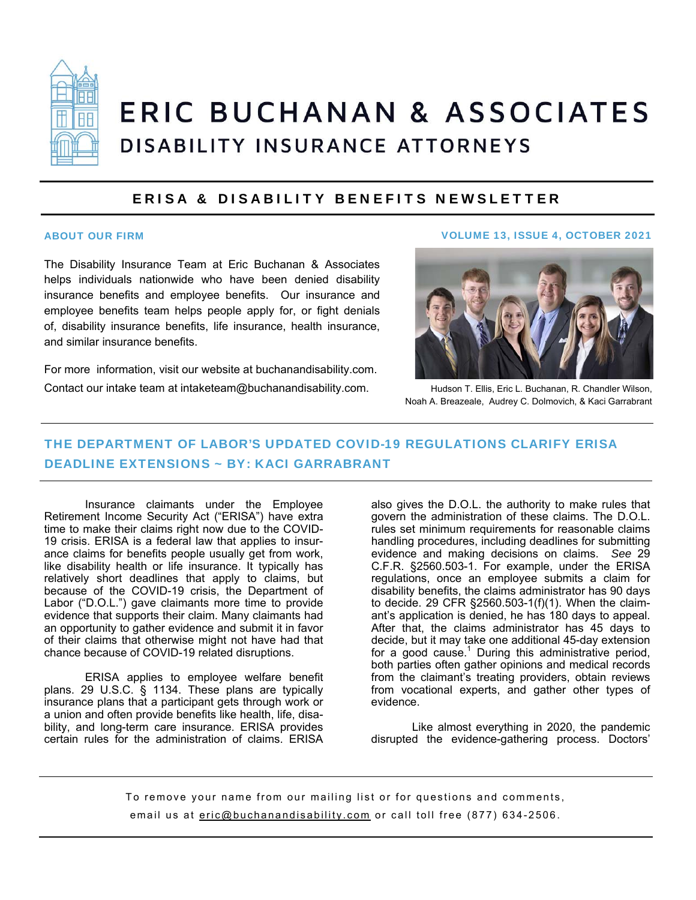

# ERIC BUCHANAN & ASSOCIATES DISABILITY INSURANCE ATTORNEYS

#### ERISA & DISABILITY BENEFITS NEWSLETTER

The Disability Insurance Team at Eric Buchanan & Associates helps individuals nationwide who have been denied disability insurance benefits and employee benefits. Our insurance and employee benefits team helps people apply for, or fight denials of, disability insurance benefits, life insurance, health insurance, and similar insurance benefits.

For more information, visit our website at buchanandisability.com.

Contact our intake team at intaketeam@buchanandisability.com.

#### ABOUT OUR FIRM VOLUME 13, ISSUE 4, OCTOBER 2021



Hudson T. Ellis, Eric L. Buchanan, R. Chandler Wilson, Noah A. Breazeale, Audrey C. Dolmovich, & Kaci Garrabrant

### THE DEPARTMENT OF LABOR'S UPDATED COVID-19 REGULATIONS CLARIFY ERISA DEADLINE EXTENSIONS ~ BY: KACI GARRABRANT

Insurance claimants under the Employee Retirement Income Security Act ("ERISA") have extra time to make their claims right now due to the COVID-19 crisis. ERISA is a federal law that applies to insurance claims for benefits people usually get from work, like disability health or life insurance. It typically has relatively short deadlines that apply to claims, but because of the COVID-19 crisis, the Department of Labor ("D.O.L.") gave claimants more time to provide evidence that supports their claim. Many claimants had an opportunity to gather evidence and submit it in favor of their claims that otherwise might not have had that chance because of COVID-19 related disruptions.

ERISA applies to employee welfare benefit plans. 29 U.S.C. § 1134. These plans are typically insurance plans that a participant gets through work or a union and often provide benefits like health, life, disability, and long-term care insurance. ERISA provides certain rules for the administration of claims. ERISA

also gives the D.O.L. the authority to make rules that govern the administration of these claims. The D.O.L. rules set minimum requirements for reasonable claims handling procedures, including deadlines for submitting evidence and making decisions on claims. *See* 29 C.F.R. §2560.503-1. For example, under the ERISA regulations, once an employee submits a claim for disability benefits, the claims administrator has 90 days to decide. 29 CFR §2560.503-1(f)(1). When the claimant's application is denied, he has 180 days to appeal. After that, the claims administrator has 45 days to decide, but it may take one additional 45-day extension for a good cause.<sup>1</sup> During this administrative period, both parties often gather opinions and medical records from the claimant's treating providers, obtain reviews from vocational experts, and gather other types of evidence.

Like almost everything in 2020, the pandemic disrupted the evidence-gathering process. Doctors'

To remove your name from our mailing list or for questions and comments, email us at eric@buchanandisability.com or call toll free (877) 634-2506.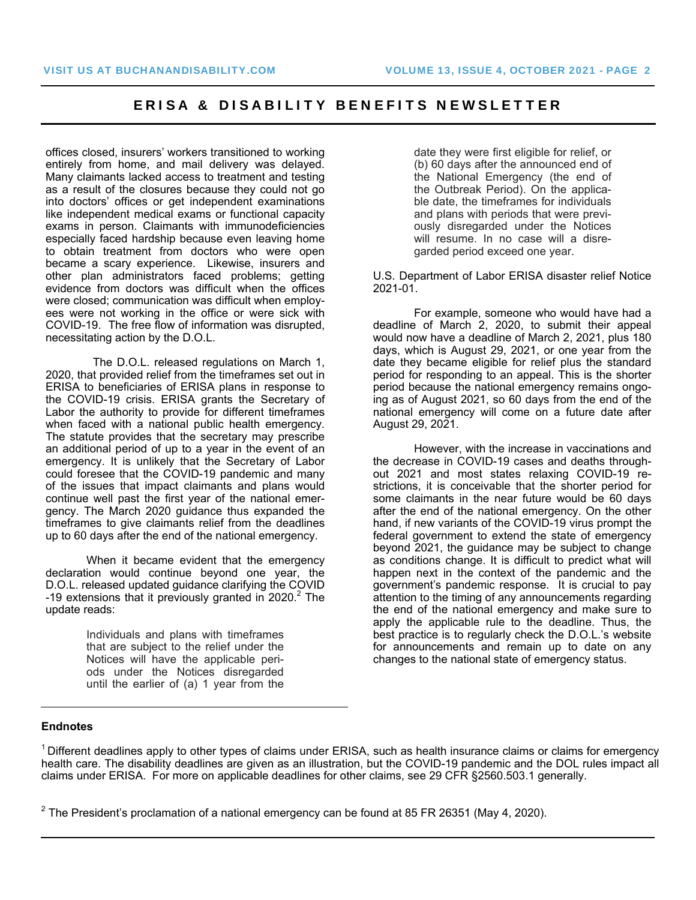#### ERISA & DISABILITY BENEFITS NEWSLETTER

offices closed, insurers' workers transitioned to working entirely from home, and mail delivery was delayed. Many claimants lacked access to treatment and testing as a result of the closures because they could not go into doctors' offices or get independent examinations like independent medical exams or functional capacity exams in person. Claimants with immunodeficiencies especially faced hardship because even leaving home to obtain treatment from doctors who were open became a scary experience. Likewise, insurers and other plan administrators faced problems; getting evidence from doctors was difficult when the offices were closed; communication was difficult when employees were not working in the office or were sick with COVID-19. The free flow of information was disrupted, necessitating action by the D.O.L.

 The D.O.L. released regulations on March 1, 2020, that provided relief from the timeframes set out in ERISA to beneficiaries of ERISA plans in response to the COVID-19 crisis. ERISA grants the Secretary of Labor the authority to provide for different timeframes when faced with a national public health emergency. The statute provides that the secretary may prescribe an additional period of up to a year in the event of an emergency. It is unlikely that the Secretary of Labor could foresee that the COVID-19 pandemic and many of the issues that impact claimants and plans would continue well past the first year of the national emergency. The March 2020 guidance thus expanded the timeframes to give claimants relief from the deadlines up to 60 days after the end of the national emergency.

When it became evident that the emergency declaration would continue beyond one year, the D.O.L. released updated guidance clarifying the COVID -19 extensions that it previously granted in 2020. $^2$  The update reads:

> Individuals and plans with timeframes that are subject to the relief under the Notices will have the applicable periods under the Notices disregarded until the earlier of (a) 1 year from the

date they were first eligible for relief, or (b) 60 days after the announced end of the National Emergency (the end of the Outbreak Period). On the applicable date, the timeframes for individuals and plans with periods that were previously disregarded under the Notices will resume. In no case will a disregarded period exceed one year.

U.S. Department of Labor ERISA disaster relief Notice 2021-01.

For example, someone who would have had a deadline of March 2, 2020, to submit their appeal would now have a deadline of March 2, 2021, plus 180 days, which is August 29, 2021, or one year from the date they became eligible for relief plus the standard period for responding to an appeal. This is the shorter period because the national emergency remains ongoing as of August 2021, so 60 days from the end of the national emergency will come on a future date after August 29, 2021.

However, with the increase in vaccinations and the decrease in COVID-19 cases and deaths throughout 2021 and most states relaxing COVID-19 restrictions, it is conceivable that the shorter period for some claimants in the near future would be 60 days after the end of the national emergency. On the other hand, if new variants of the COVID-19 virus prompt the federal government to extend the state of emergency beyond 2021, the guidance may be subject to change as conditions change. It is difficult to predict what will happen next in the context of the pandemic and the government's pandemic response. It is crucial to pay attention to the timing of any announcements regarding the end of the national emergency and make sure to apply the applicable rule to the deadline. Thus, the best practice is to regularly check the D.O.L.'s website for announcements and remain up to date on any changes to the national state of emergency status.

#### **Endnotes**

 $1$  Different deadlines apply to other types of claims under ERISA, such as health insurance claims or claims for emergency health care. The disability deadlines are given as an illustration, but the COVID-19 pandemic and the DOL rules impact all claims under ERISA. For more on applicable deadlines for other claims, see 29 CFR §2560.503.1 generally.

 $^2$  The President's proclamation of a national emergency can be found at 85 FR 26351 (May 4, 2020).